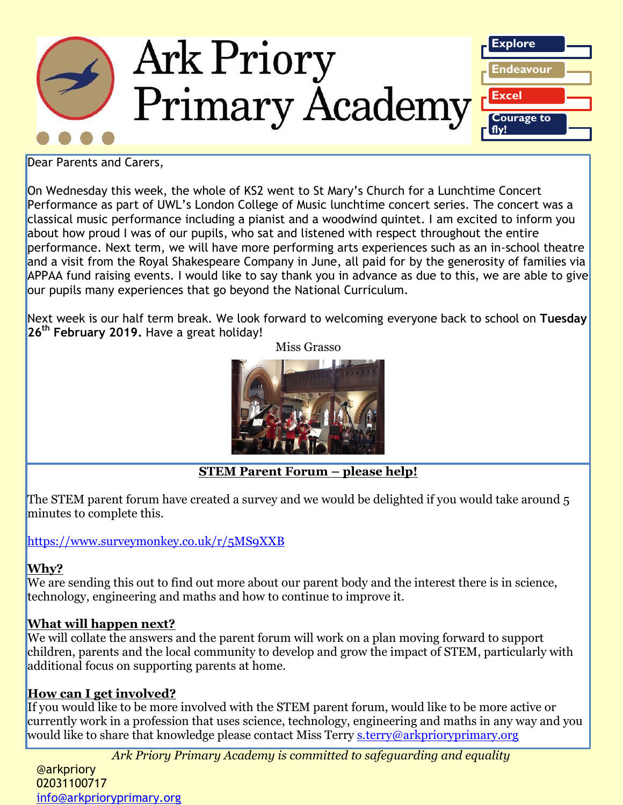

Dear Parents and Carers,

On Wednesday this week, the whole of KS2 went to St Mary's Church for a Lunchtime Concert Performance as part of UWL's London College of Music lunchtime concert series. The concert was a classical music performance including a pianist and a woodwind quintet. I am excited to inform you about how proud I was of our pupils, who sat and listened with respect throughout the entire performance. Next term, we will have more performing arts experiences such as an in-school theatre and a visit from the Royal Shakespeare Company in June, all paid for by the generosity of families via APPAA fund raising events. I would like to say thank you in advance as due to this, we are able to give our pupils many experiences that go beyond the National Curriculum.

Next week is our half term break. We look forward to welcoming everyone back to school on **Tuesday 26th February 2019.** Have a great holiday!

Miss Grasso



**STEM Parent Forum – please help!**

The STEM parent forum have created a survey and we would be delighted if you would take around 5 minutes to complete this.

## [https://www.surveymonkey.co.uk/r/5MS9XXB](https://nam02.safelinks.protection.outlook.com/?url=https%3A%2F%2Fwww.surveymonkey.co.uk%2Fr%2F5MS9XXB&data=02%7C01%7C%7Cd64b5ffc5d4a46cc0f8308d69190dc28%7C84df9e7fe9f640afb435aaaaaaaaaaaa%7C1%7C0%7C636856448682694847&sdata=eWTD1vw1jXYBuuIQCV1ka%2F8y5PPFcVKaQ9wLkxOMuXU%3D&reserved=0)

## **Why?**

We are sending this out to find out more about our parent body and the interest there is in science, technology, engineering and maths and how to continue to improve it.

## **What will happen next?**

We will collate the answers and the parent forum will work on a plan moving forward to support children, parents and the local community to develop and grow the impact of STEM, particularly with additional focus on supporting parents at home.

## **How can I get involved?**

If you would like to be more involved with the STEM parent forum, would like to be more active or currently work in a profession that uses science, technology, engineering and maths in any way and you would like to share that knowledge please contact Miss Terry [s.terry@arkprioryprimary.org](mailto:s.terry@arkprioryprimary.org)

*Ark Priory Primary Academy is committed to safeguarding and equality* 

ATAITION<br> **@arkpriory** 02031100717 ozosi 1007 17<br>info@arkprioryprimary.org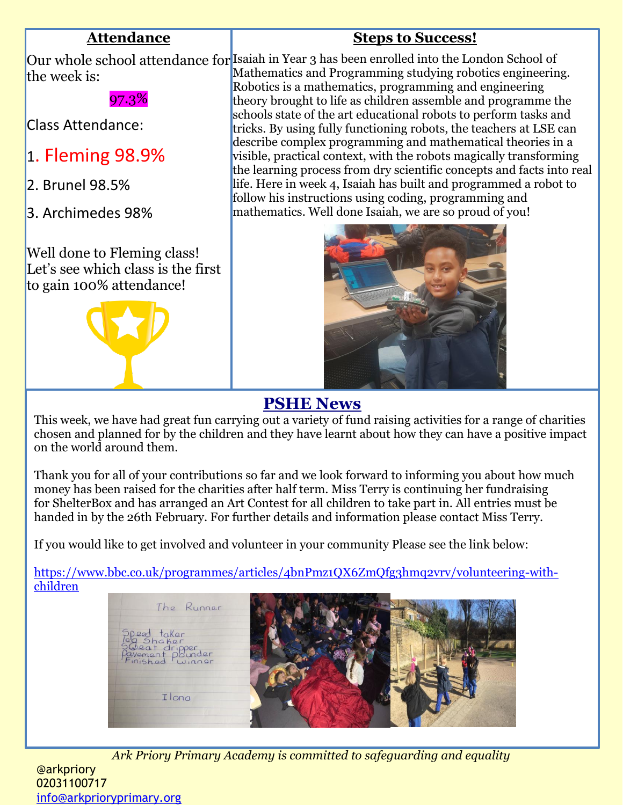## **Attendance**

## **Steps to Success!**

Our whole school attendance for Isaiah in Year 3 has been enrolled into the London School of the week is: Mathematics and Programming studying robotics engineering.

97.3%

Class Attendance:

- 1. Fleming 98.9%
- 2. Brunel 98.5%
- 3. Archimedes 98%

Well done to Fleming class! Let's see which class is the first to gain 100% attendance!



Robotics is a mathematics, programming and engineering theory brought to life as children assemble and programme the schools state of the art educational robots to perform tasks and tricks. By using fully functioning robots, the teachers at LSE can describe complex programming and mathematical theories in a visible, practical context, with the robots magically transforming the learning process from dry scientific concepts and facts into real life. Here in week 4, Isaiah has built and programmed a robot to follow his instructions using coding, programming and mathematics. Well done Isaiah, we are so proud of you!



## **PSHE News**

This week, we have had great fun carrying out a variety of fund raising activities for a range of charities chosen and planned for by the children and they have learnt about how they can have a positive impact on the world around them.

Thank you for all of your contributions so far and we look forward to informing you about how much money has been raised for the charities after half term. Miss Terry is continuing her fundraising for ShelterBox and has arranged an Art Contest for all children to take part in. All entries must be handed in by the 26th February. For further details and information please contact Miss Terry.

If you would like to get involved and volunteer in your community Please see the link below:

[https://www.bbc.co.uk/programmes/articles/4bnPmz1QX6ZmQfg3hmq2vrv/volunteering-with](https://www.bbc.co.uk/programmes/articles/4bnPmz1QX6ZmQfg3hmq2vrv/volunteering-with-children)[children](https://www.bbc.co.uk/programmes/articles/4bnPmz1QX6ZmQfg3hmq2vrv/volunteering-with-children)



*Ark Priory Primary Academy is committed to safeguarding and equality*  @arkpriory 02031100717 [info@arkprioryprimary.org](mailto:info@arkprioryprimary.org)